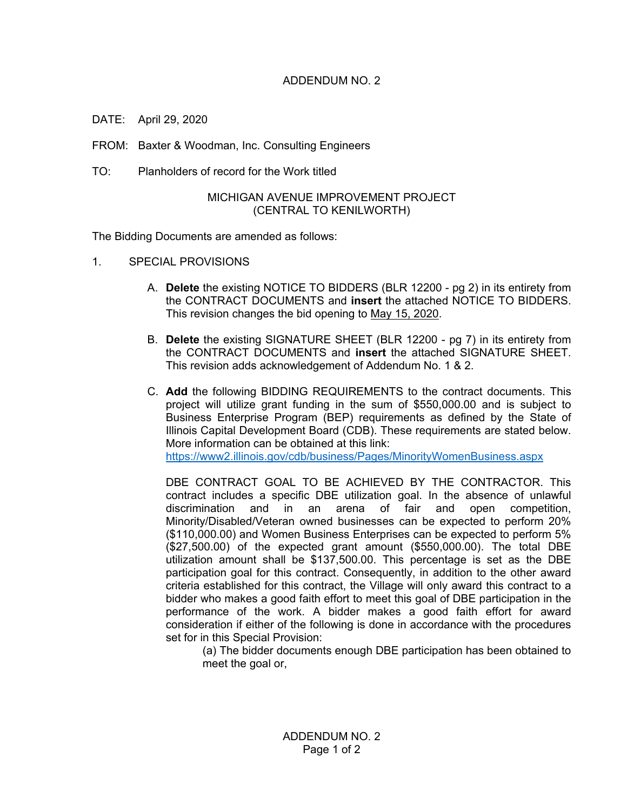## ADDENDUM NO. 2

DATE: April 29, 2020

FROM: Baxter & Woodman, Inc. Consulting Engineers

TO: Planholders of record for the Work titled

## MICHIGAN AVENUE IMPROVEMENT PROJECT (CENTRAL TO KENILWORTH)

The Bidding Documents are amended as follows:

- 1. SPECIAL PROVISIONS
	- A. **Delete** the existing NOTICE TO BIDDERS (BLR 12200 pg 2) in its entirety from the CONTRACT DOCUMENTS and **insert** the attached NOTICE TO BIDDERS. This revision changes the bid opening to May 15, 2020.
	- B. **Delete** the existing SIGNATURE SHEET (BLR 12200 pg 7) in its entirety from the CONTRACT DOCUMENTS and **insert** the attached SIGNATURE SHEET. This revision adds acknowledgement of Addendum No. 1 & 2.
	- C. **Add** the following BIDDING REQUIREMENTS to the contract documents. This project will utilize grant funding in the sum of \$550,000.00 and is subject to Business Enterprise Program (BEP) requirements as defined by the State of Illinois Capital Development Board (CDB). These requirements are stated below. More information can be obtained at this link: <https://www2.illinois.gov/cdb/business/Pages/MinorityWomenBusiness.aspx>

DBE CONTRACT GOAL TO BE ACHIEVED BY THE CONTRACTOR. This contract includes a specific DBE utilization goal. In the absence of unlawful discrimination and in an arena of fair and open competition, Minority/Disabled/Veteran owned businesses can be expected to perform 20% (\$110,000.00) and Women Business Enterprises can be expected to perform 5% (\$27,500.00) of the expected grant amount (\$550,000.00). The total DBE utilization amount shall be \$137,500.00. This percentage is set as the DBE participation goal for this contract. Consequently, in addition to the other award criteria established for this contract, the Village will only award this contract to a bidder who makes a good faith effort to meet this goal of DBE participation in the performance of the work. A bidder makes a good faith effort for award consideration if either of the following is done in accordance with the procedures set for in this Special Provision:

(a) The bidder documents enough DBE participation has been obtained to meet the goal or,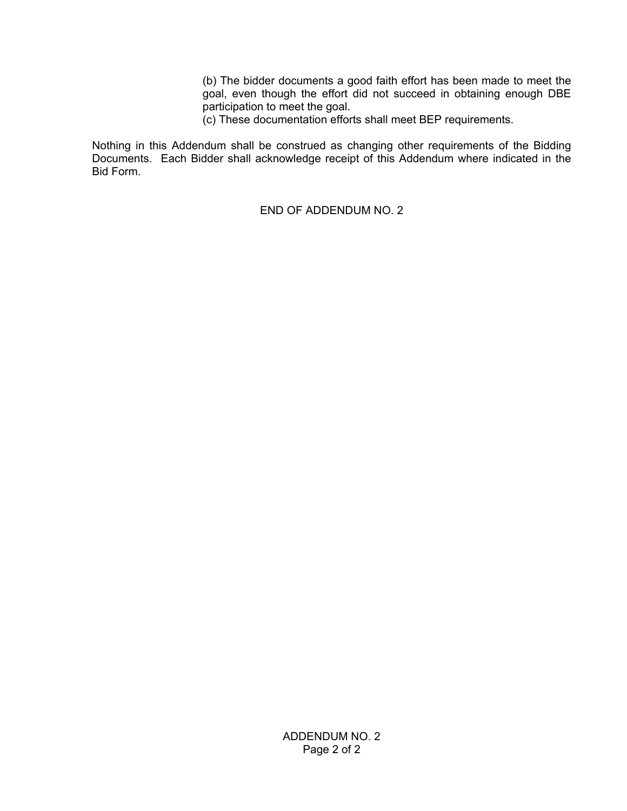(b) The bidder documents a good faith effort has been made to meet the goal, even though the effort did not succeed in obtaining enough DBE participation to meet the goal.

(c) These documentation efforts shall meet BEP requirements.

Nothing in this Addendum shall be construed as changing other requirements of the Bidding Documents. Each Bidder shall acknowledge receipt of this Addendum where indicated in the Bid Form.

END OF ADDENDUM NO. 2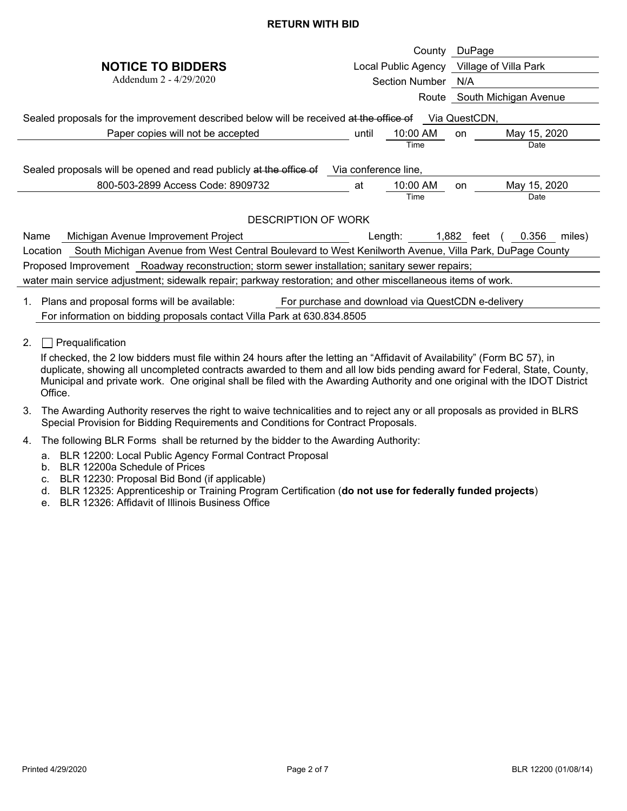## **RETURN WITH BID**

|                                                                                                                    |                                                   | County DuPage                 |  |
|--------------------------------------------------------------------------------------------------------------------|---------------------------------------------------|-------------------------------|--|
| <b>NOTICE TO BIDDERS</b>                                                                                           | Local Public Agency Village of Villa Park         |                               |  |
| Addendum 2 - 4/29/2020                                                                                             | Section Number                                    | N/A                           |  |
|                                                                                                                    |                                                   | Route South Michigan Avenue   |  |
| Sealed proposals for the improvement described below will be received at the office of<br>Via QuestCDN,            |                                                   |                               |  |
| Paper copies will not be accepted                                                                                  | 10:00 AM<br>until                                 | May 15, 2020<br>on            |  |
|                                                                                                                    | Time                                              | Date                          |  |
| Sealed proposals will be opened and read publicly at the office of<br>Via conference line,                         |                                                   |                               |  |
| 800-503-2899 Access Code: 8909732                                                                                  | 10:00 AM<br>at                                    | May 15, 2020<br>on            |  |
|                                                                                                                    | Time                                              | Date                          |  |
| <b>DESCRIPTION OF WORK</b>                                                                                         |                                                   |                               |  |
| Michigan Avenue Improvement Project<br>Name                                                                        | Length:                                           | 1,882 feet<br>0.356<br>miles) |  |
| South Michigan Avenue from West Central Boulevard to West Kenilworth Avenue, Villa Park, DuPage County<br>Location |                                                   |                               |  |
| Proposed Improvement Roadway reconstruction; storm sewer installation; sanitary sewer repairs;                     |                                                   |                               |  |
| water main service adjustment; sidewalk repair; parkway restoration; and other miscellaneous items of work.        |                                                   |                               |  |
| Plans and proposal forms will be available:<br>1.                                                                  | For purchase and download via QuestCDN e-delivery |                               |  |
| For information on bidding proposals contact Villa Park at 630.834.8505                                            |                                                   |                               |  |

2.  $\Box$  Prequalification

If checked, the 2 low bidders must file within 24 hours after the letting an "Affidavit of Availability" (Form BC 57), in duplicate, showing all uncompleted contracts awarded to them and all low bids pending award for Federal, State, County, Municipal and private work. One original shall be filed with the Awarding Authority and one original with the IDOT District Office.

- 3. The Awarding Authority reserves the right to waive technicalities and to reject any or all proposals as provided in BLRS Special Provision for Bidding Requirements and Conditions for Contract Proposals.
- 4. The following BLR Forms shall be returned by the bidder to the Awarding Authority:
	- a. BLR 12200: Local Public Agency Formal Contract Proposal
	- b. BLR 12200a Schedule of Prices
	- c. BLR 12230: Proposal Bid Bond (if applicable)
	- d. BLR 12325: Apprenticeship or Training Program Certification (**do not use for federally funded projects**)
	- e. BLR 12326: Affidavit of Illinois Business Office